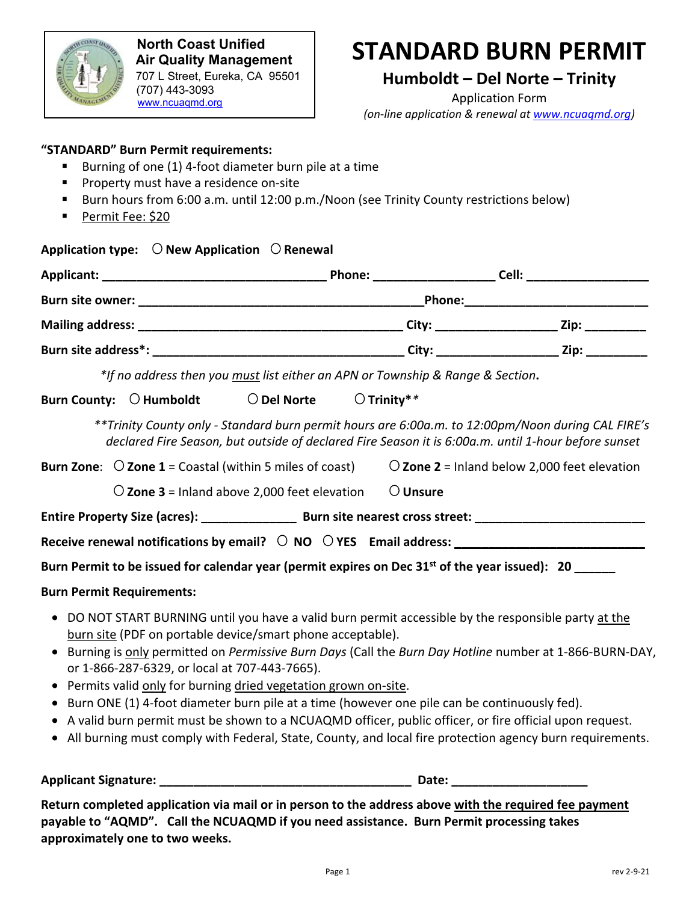

 **North Coast Unified Air Quality Management District** 707 L Street, Eureka, CA 95501 (707) 443-3093 www.ncuaqmd.org

# **STANDARD BURN PERMIT**

### **Humboldt – Del Norte – Trinity**

Application Form *(on-line application & renewal at www.ncuaqmd.org)*

#### **"STANDARD" Burn Permit requirements:**

- Burning of one (1) 4-foot diameter burn pile at a time
- **Property must have a residence on-site**
- Burn hours from 6:00 a.m. until 12:00 p.m./Noon (see Trinity County restrictions below)
- Permit Fee: \$20

|                                                                                                                                                                                                                                                                                           |  | Application type: $\bigcirc$ New Application $\bigcirc$ Renewal |  |
|-------------------------------------------------------------------------------------------------------------------------------------------------------------------------------------------------------------------------------------------------------------------------------------------|--|-----------------------------------------------------------------|--|
|                                                                                                                                                                                                                                                                                           |  |                                                                 |  |
|                                                                                                                                                                                                                                                                                           |  |                                                                 |  |
|                                                                                                                                                                                                                                                                                           |  |                                                                 |  |
|                                                                                                                                                                                                                                                                                           |  |                                                                 |  |
| *If no address then you must list either an APN or Township & Range & Section.                                                                                                                                                                                                            |  |                                                                 |  |
|                                                                                                                                                                                                                                                                                           |  | Burn County: O Humboldt O Del Norte O Trinity**                 |  |
| **Trinity County only - Standard burn permit hours are 6:00a.m. to 12:00pm/Noon during CAL FIRE's<br>declared Fire Season, but outside of declared Fire Season it is 6:00a.m. until 1-hour before sunset                                                                                  |  |                                                                 |  |
| <b>Burn Zone:</b> $\bigcirc$ <b>Zone 1</b> = Coastal (within 5 miles of coast)<br>$\bigcirc$ Zone 2 = Inland below 2,000 feet elevation                                                                                                                                                   |  |                                                                 |  |
| $\bigcirc$ Zone 3 = Inland above 2,000 feet elevation $\bigcirc$ Unsure                                                                                                                                                                                                                   |  |                                                                 |  |
|                                                                                                                                                                                                                                                                                           |  |                                                                 |  |
|                                                                                                                                                                                                                                                                                           |  |                                                                 |  |
| Burn Permit to be issued for calendar year (permit expires on Dec 31 <sup>st</sup> of the year issued): 20 _____                                                                                                                                                                          |  |                                                                 |  |
| <b>Burn Permit Requirements:</b>                                                                                                                                                                                                                                                          |  |                                                                 |  |
| DO NOT START BURNING until you have a valid burn permit accessible by the responsible party at the<br>$\bullet$<br>burn site (PDF on portable device/smart phone acceptable).<br>• Burning is only permitted on Permissive Burn Days (Call the Burn Day Hotline number at 1-866-BURN-DAY, |  |                                                                 |  |
| or 1-866-287-6329, or local at 707-443-7665).<br>Permits valid only for burning dried vegetation grown on-site.                                                                                                                                                                           |  |                                                                 |  |
| Burn ONE (1) 4-foot diameter burn pile at a time (however one pile can be continuously fed).                                                                                                                                                                                              |  |                                                                 |  |
| • A valid burn permit must be shown to a NCUAQMD officer, public officer, or fire official upon request.                                                                                                                                                                                  |  |                                                                 |  |
| • All burning must comply with Federal, State, County, and local fire protection agency burn requirements.                                                                                                                                                                                |  |                                                                 |  |

**Applicant Signature: \_\_\_\_\_\_\_\_\_\_\_\_\_\_\_\_\_\_\_\_\_\_\_\_\_\_\_\_\_\_\_\_\_\_\_\_\_ Date: \_\_\_\_\_\_\_\_\_\_\_\_\_\_\_\_\_\_\_\_** 

**Return completed application via mail or in person to the address above with the required fee payment payable to "AQMD". Call the NCUAQMD if you need assistance. Burn Permit processing takes approximately one to two weeks.**